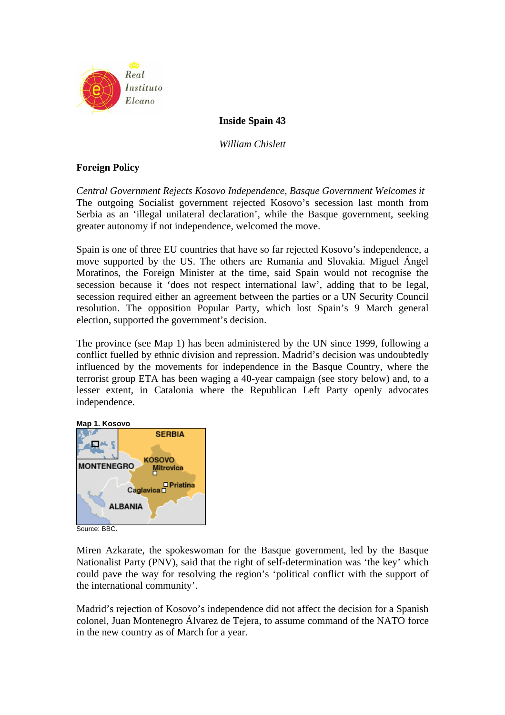

## **Inside Spain 43**

*William Chislett* 

## **Foreign Policy**

*Central Government Rejects Kosovo Independence, Basque Government Welcomes it*  The outgoing Socialist government rejected Kosovo's secession last month from Serbia as an 'illegal unilateral declaration', while the Basque government, seeking greater autonomy if not independence, welcomed the move.

Spain is one of three EU countries that have so far rejected Kosovo's independence, a move supported by the US. The others are Rumania and Slovakia. Miguel Ángel Moratinos, the Foreign Minister at the time, said Spain would not recognise the secession because it 'does not respect international law', adding that to be legal, secession required either an agreement between the parties or a UN Security Council resolution. The opposition Popular Party, which lost Spain's 9 March general election, supported the government's decision.

The province (see Map 1) has been administered by the UN since 1999, following a conflict fuelled by ethnic division and repression. Madrid's decision was undoubtedly influenced by the movements for independence in the Basque Country, where the terrorist group ETA has been waging a 40-year campaign (see story below) and, to a lesser extent, in Catalonia where the Republican Left Party openly advocates independence.



Source: BBC.

Miren Azkarate, the spokeswoman for the Basque government, led by the Basque Nationalist Party (PNV), said that the right of self-determination was 'the key' which could pave the way for resolving the region's 'political conflict with the support of the international community'.

Madrid's rejection of Kosovo's independence did not affect the decision for a Spanish colonel, Juan Montenegro Álvarez de Tejera, to assume command of the NATO force in the new country as of March for a year.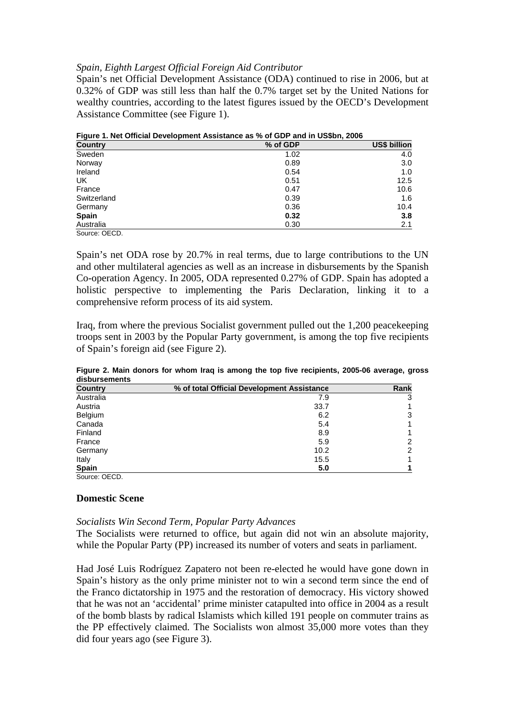#### *Spain, Eighth Largest Official Foreign Aid Contributor*

Spain's net Official Development Assistance (ODA) continued to rise in 2006, but at 0.32% of GDP was still less than half the 0.7% target set by the United Nations for wealthy countries, according to the latest figures issued by the OECD's Development Assistance Committee (see Figure 1).

| <u>I iyulc I. Net Official Development Assistance as 70 OF GEN and in Oppon, 2000</u> |          |              |  |  |  |  |
|---------------------------------------------------------------------------------------|----------|--------------|--|--|--|--|
| <b>Country</b>                                                                        | % of GDP | US\$ billion |  |  |  |  |
| Sweden                                                                                | 1.02     | 4.0          |  |  |  |  |
| Norway                                                                                | 0.89     | 3.0          |  |  |  |  |
| Ireland                                                                               | 0.54     | 1.0          |  |  |  |  |
| UK.                                                                                   | 0.51     | 12.5         |  |  |  |  |
| France                                                                                | 0.47     | 10.6         |  |  |  |  |
| Switzerland                                                                           | 0.39     | 1.6          |  |  |  |  |
| Germany                                                                               | 0.36     | 10.4         |  |  |  |  |
| <b>Spain</b>                                                                          | 0.32     | 3.8          |  |  |  |  |
| Australia                                                                             | 0.30     | 2.1          |  |  |  |  |
| Source: OECD.                                                                         |          |              |  |  |  |  |

**Figure 1. Net Official Development Assistance as % of GDP and in US\$bn, 2006** 

Spain's net ODA rose by 20.7% in real terms, due to large contributions to the UN and other multilateral agencies as well as an increase in disbursements by the Spanish Co-operation Agency. In 2005, ODA represented 0.27% of GDP. Spain has adopted a holistic perspective to implementing the Paris Declaration, linking it to a comprehensive reform process of its aid system.

Iraq, from where the previous Socialist government pulled out the 1,200 peacekeeping troops sent in 2003 by the Popular Party government, is among the top five recipients of Spain's foreign aid (see Figure 2).

| <b>Country</b> | % of total Official Development Assistance | Rank |
|----------------|--------------------------------------------|------|
| Australia      | 7.9                                        | 3    |
| Austria        | 33.7                                       |      |
| Belgium        | 6.2                                        | 3    |
| Canada         | 5.4                                        |      |
| Finland        | 8.9                                        |      |
| France         | 5.9                                        | 2    |
| Germany        | 10.2                                       | 2    |
| Italy          | 15.5                                       |      |
| <b>Spain</b>   | 5.0                                        |      |
| Source: OFCD.  |                                            |      |

**Figure 2. Main donors for whom Iraq is among the top five recipients, 2005-06 average, gross disbursements** 

# **Domestic Scene**

# *Socialists Win Second Term, Popular Party Advances*

The Socialists were returned to office, but again did not win an absolute majority, while the Popular Party (PP) increased its number of voters and seats in parliament.

Had José Luis Rodríguez Zapatero not been re-elected he would have gone down in Spain's history as the only prime minister not to win a second term since the end of the Franco dictatorship in 1975 and the restoration of democracy. His victory showed that he was not an 'accidental' prime minister catapulted into office in 2004 as a result of the bomb blasts by radical Islamists which killed 191 people on commuter trains as the PP effectively claimed. The Socialists won almost 35,000 more votes than they did four years ago (see Figure 3).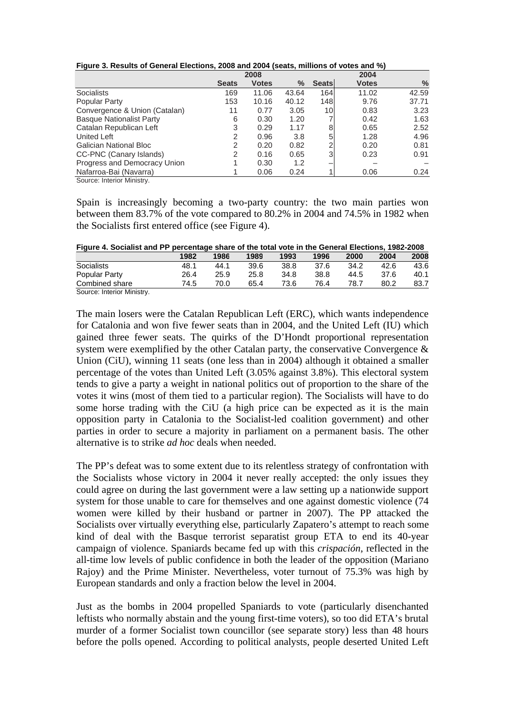| Figure 3. Results of General Elections, 2008 and 2004 (seats, millions of votes and %) |  |  |  |  |
|----------------------------------------------------------------------------------------|--|--|--|--|
|                                                                                        |  |  |  |  |

|                                 |              | 2008         |       |              | 2004         |       |  |  |
|---------------------------------|--------------|--------------|-------|--------------|--------------|-------|--|--|
|                                 | <b>Seats</b> | <b>Votes</b> | $\%$  | <b>Seats</b> | <b>Votes</b> | $\%$  |  |  |
| <b>Socialists</b>               | 169          | 11.06        | 43.64 | 164          | 11.02        | 42.59 |  |  |
| Popular Party                   | 153          | 10.16        | 40.12 | 148          | 9.76         | 37.71 |  |  |
| Convergence & Union (Catalan)   | 11           | 0.77         | 3.05  | 10           | 0.83         | 3.23  |  |  |
| <b>Basque Nationalist Party</b> | 6            | 0.30         | 1.20  |              | 0.42         | 1.63  |  |  |
| Catalan Republican Left         | 3            | 0.29         | 1.17  | 8            | 0.65         | 2.52  |  |  |
| <b>United Left</b>              | 2            | 0.96         | 3.8   | 5            | 1.28         | 4.96  |  |  |
| <b>Galician National Bloc</b>   | 2            | 0.20         | 0.82  | 2            | 0.20         | 0.81  |  |  |
| CC-PNC (Canary Islands)         | 2            | 0.16         | 0.65  | 3            | 0.23         | 0.91  |  |  |
| Progress and Democracy Union    |              | 0.30         | 1.2   | -            |              |       |  |  |
| Nafarroa-Bai (Navarra)          |              | 0.06         | 0.24  |              | 0.06         | 0.24  |  |  |
| Course Interior Ministry        |              |              |       |              |              |       |  |  |

Source: Interior Ministry.

Spain is increasingly becoming a two-party country: the two main parties won between them 83.7% of the vote compared to 80.2% in 2004 and 74.5% in 1982 when the Socialists first entered office (see Figure 4).

**Figure 4. Socialist and PP percentage share of the total vote in the General Elections, 1982-2008** 

| - -                        |      |      |      |      |      |      |      |      |
|----------------------------|------|------|------|------|------|------|------|------|
|                            | 1982 | 1986 | 1989 | 1993 | 1996 | 2000 | 2004 | 2008 |
| Socialists                 | 48.1 | 44.1 | 39.6 | 38.8 | 37.6 | 34.2 | 42.6 | 43.6 |
| Popular Party              | 26.4 | 25.9 | 25.8 | 34.8 | 38.8 | 44.5 | 37.6 | 40.1 |
| Combined share             | 74.5 | 70.0 | 65.4 | 73.6 | 76.4 | 78.7 | 80.2 | 83.7 |
| Source: Interior Ministry. |      |      |      |      |      |      |      |      |

The main losers were the Catalan Republican Left (ERC), which wants independence for Catalonia and won five fewer seats than in 2004, and the United Left (IU) which gained three fewer seats. The quirks of the D'Hondt proportional representation system were exemplified by the other Catalan party, the conservative Convergence  $\&$ Union (CiU), winning 11 seats (one less than in 2004) although it obtained a smaller percentage of the votes than United Left (3.05% against 3.8%). This electoral system tends to give a party a weight in national politics out of proportion to the share of the votes it wins (most of them tied to a particular region). The Socialists will have to do some horse trading with the CiU (a high price can be expected as it is the main opposition party in Catalonia to the Socialist-led coalition government) and other parties in order to secure a majority in parliament on a permanent basis. The other alternative is to strike *ad hoc* deals when needed.

The PP's defeat was to some extent due to its relentless strategy of confrontation with the Socialists whose victory in 2004 it never really accepted: the only issues they could agree on during the last government were a law setting up a nationwide support system for those unable to care for themselves and one against domestic violence (74 women were killed by their husband or partner in 2007). The PP attacked the Socialists over virtually everything else, particularly Zapatero's attempt to reach some kind of deal with the Basque terrorist separatist group ETA to end its 40-year campaign of violence. Spaniards became fed up with this *crispación*, reflected in the all-time low levels of public confidence in both the leader of the opposition (Mariano Rajoy) and the Prime Minister. Nevertheless, voter turnout of 75.3% was high by European standards and only a fraction below the level in 2004.

Just as the bombs in 2004 propelled Spaniards to vote (particularly disenchanted leftists who normally abstain and the young first-time voters), so too did ETA's brutal murder of a former Socialist town councillor (see separate story) less than 48 hours before the polls opened. According to political analysts, people deserted United Left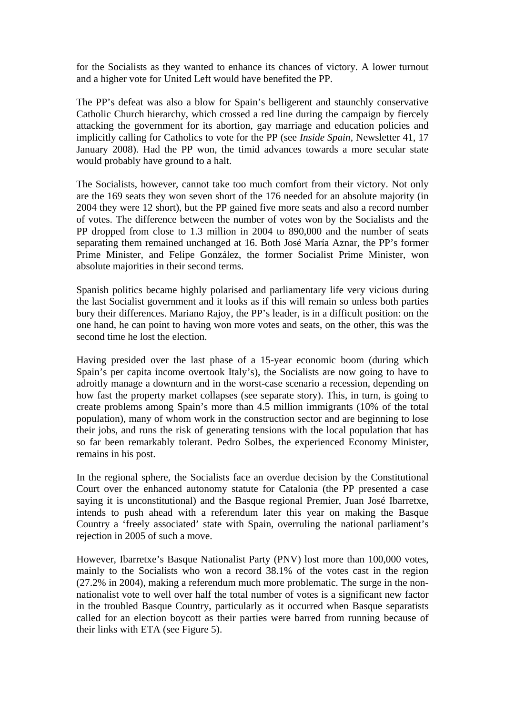for the Socialists as they wanted to enhance its chances of victory. A lower turnout and a higher vote for United Left would have benefited the PP.

The PP's defeat was also a blow for Spain's belligerent and staunchly conservative Catholic Church hierarchy, which crossed a red line during the campaign by fiercely attacking the government for its abortion, gay marriage and education policies and implicitly calling for Catholics to vote for the PP (see *Inside Spain*, Newsletter 41, 17 January 2008). Had the PP won, the timid advances towards a more secular state would probably have ground to a halt.

The Socialists, however, cannot take too much comfort from their victory. Not only are the 169 seats they won seven short of the 176 needed for an absolute majority (in 2004 they were 12 short), but the PP gained five more seats and also a record number of votes. The difference between the number of votes won by the Socialists and the PP dropped from close to 1.3 million in 2004 to 890,000 and the number of seats separating them remained unchanged at 16. Both José María Aznar, the PP's former Prime Minister, and Felipe González, the former Socialist Prime Minister, won absolute majorities in their second terms.

Spanish politics became highly polarised and parliamentary life very vicious during the last Socialist government and it looks as if this will remain so unless both parties bury their differences. Mariano Rajoy, the PP's leader, is in a difficult position: on the one hand, he can point to having won more votes and seats, on the other, this was the second time he lost the election.

Having presided over the last phase of a 15-year economic boom (during which Spain's per capita income overtook Italy's), the Socialists are now going to have to adroitly manage a downturn and in the worst-case scenario a recession, depending on how fast the property market collapses (see separate story). This, in turn, is going to create problems among Spain's more than 4.5 million immigrants (10% of the total population), many of whom work in the construction sector and are beginning to lose their jobs, and runs the risk of generating tensions with the local population that has so far been remarkably tolerant. Pedro Solbes, the experienced Economy Minister, remains in his post.

In the regional sphere, the Socialists face an overdue decision by the Constitutional Court over the enhanced autonomy statute for Catalonia (the PP presented a case saying it is unconstitutional) and the Basque regional Premier, Juan José Ibarretxe, intends to push ahead with a referendum later this year on making the Basque Country a 'freely associated' state with Spain, overruling the national parliament's rejection in 2005 of such a move.

However, Ibarretxe's Basque Nationalist Party (PNV) lost more than 100,000 votes, mainly to the Socialists who won a record 38.1% of the votes cast in the region (27.2% in 2004), making a referendum much more problematic. The surge in the nonnationalist vote to well over half the total number of votes is a significant new factor in the troubled Basque Country, particularly as it occurred when Basque separatists called for an election boycott as their parties were barred from running because of their links with ETA (see Figure 5).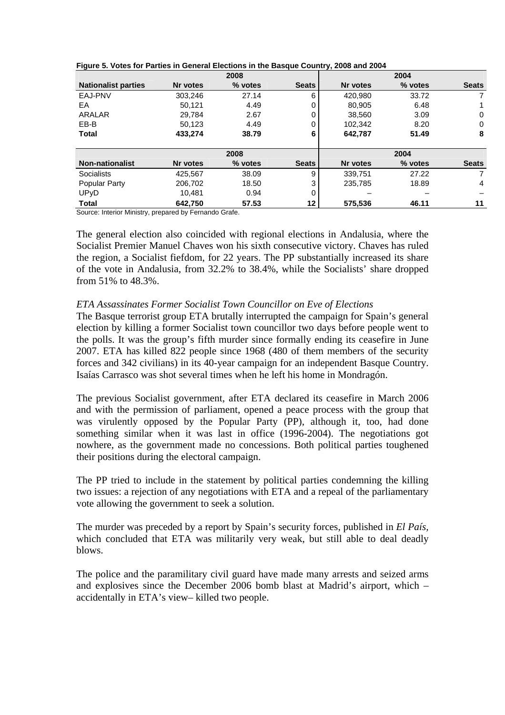|                            |          | 2008    |              |          | 2004    |                |
|----------------------------|----------|---------|--------------|----------|---------|----------------|
| <b>Nationalist parties</b> | Nr votes | % votes | <b>Seats</b> | Nr votes | % votes | <b>Seats</b>   |
| EAJ-PNV                    | 303,246  | 27.14   | 6            | 420.980  | 33.72   | 7              |
| EA                         | 50.121   | 4.49    | 0            | 80,905   | 6.48    |                |
| ARALAR                     | 29.784   | 2.67    | 0            | 38.560   | 3.09    | 0              |
| EB-B                       | 50,123   | 4.49    | $\Omega$     | 102,342  | 8.20    | 0              |
| <b>Total</b>               | 433,274  | 38.79   | 6            | 642,787  | 51.49   | 8              |
|                            |          | 2008    |              |          | 2004    |                |
| <b>Non-nationalist</b>     | Nr votes | % votes | <b>Seats</b> | Nr votes | % votes | <b>Seats</b>   |
| Socialists                 | 425,567  | 38.09   | 9            | 339.751  | 27.22   | $\overline{7}$ |
| Popular Party              | 206,702  | 18.50   | 3            | 235,785  | 18.89   | 4              |
| UPyD                       | 10.481   | 0.94    | $\Omega$     |          |         |                |
| <b>Total</b>               | 642.750  | 57.53   | 12           | 575,536  | 46.11   | 11             |

|  |  |  |  | Figure 5. Votes for Parties in General Elections in the Basque Country, 2008 and 2004 |
|--|--|--|--|---------------------------------------------------------------------------------------|
|--|--|--|--|---------------------------------------------------------------------------------------|

Source: Interior Ministry, prepared by Fernando Grafe.

The general election also coincided with regional elections in Andalusia, where the Socialist Premier Manuel Chaves won his sixth consecutive victory. Chaves has ruled the region, a Socialist fiefdom, for 22 years. The PP substantially increased its share of the vote in Andalusia, from 32.2% to 38.4%, while the Socialists' share dropped from 51% to 48.3%.

#### *ETA Assassinates Former Socialist Town Councillor on Eve of Elections*

The Basque terrorist group ETA brutally interrupted the campaign for Spain's general election by killing a former Socialist town councillor two days before people went to the polls. It was the group's fifth murder since formally ending its ceasefire in June 2007. ETA has killed 822 people since 1968 (480 of them members of the security forces and 342 civilians) in its 40-year campaign for an independent Basque Country. Isaías Carrasco was shot several times when he left his home in Mondragón.

The previous Socialist government, after ETA declared its ceasefire in March 2006 and with the permission of parliament, opened a peace process with the group that was virulently opposed by the Popular Party (PP), although it, too, had done something similar when it was last in office (1996-2004). The negotiations got nowhere, as the government made no concessions. Both political parties toughened their positions during the electoral campaign.

The PP tried to include in the statement by political parties condemning the killing two issues: a rejection of any negotiations with ETA and a repeal of the parliamentary vote allowing the government to seek a solution.

The murder was preceded by a report by Spain's security forces, published in *El País,* which concluded that ETA was militarily very weak, but still able to deal deadly blows.

The police and the paramilitary civil guard have made many arrests and seized arms and explosives since the December 2006 bomb blast at Madrid's airport, which – accidentally in ETA's view– killed two people.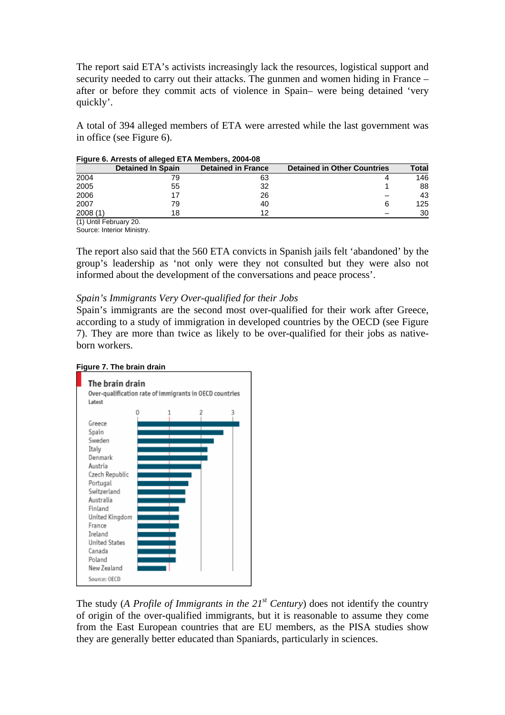The report said ETA's activists increasingly lack the resources, logistical support and security needed to carry out their attacks. The gunmen and women hiding in France – after or before they commit acts of violence in Spain– were being detained 'very quickly'.

A total of 394 alleged members of ETA were arrested while the last government was in office (see Figure 6).

|         | <b>Detained In Spain</b> | <b>Detained in France</b> | <b>Detained in Other Countries</b> | Total |
|---------|--------------------------|---------------------------|------------------------------------|-------|
| 2004    |                          | 63                        |                                    | 146   |
| 2005    | 55                       | 32                        |                                    | 88    |
| 2006    |                          | 26                        |                                    | 43    |
| 2007    | 79                       | 40                        |                                    | 125   |
| 2008(1) | 18                       | 19                        |                                    | 30    |
|         | $\sim$ $\sim$            |                           |                                    |       |

**Figure 6. Arrests of alleged ETA Members, 2004-08** 

(1) Until February 20. Source: Interior Ministry.

The report also said that the 560 ETA convicts in Spanish jails felt 'abandoned' by the group's leadership as 'not only were they not consulted but they were also not informed about the development of the conversations and peace process'.

#### *Spain's Immigrants Very Over-qualified for their Jobs*

Spain's immigrants are the second most over-qualified for their work after Greece, according to a study of immigration in developed countries by the OECD (see Figure 7). They are more than twice as likely to be over-qualified for their jobs as nativeborn workers.



The study (*A Profile of Immigrants in the*  $21^{st}$  *Century*) does not identify the country of origin of the over-qualified immigrants, but it is reasonable to assume they come from the East European countries that are EU members, as the PISA studies show they are generally better educated than Spaniards, particularly in sciences.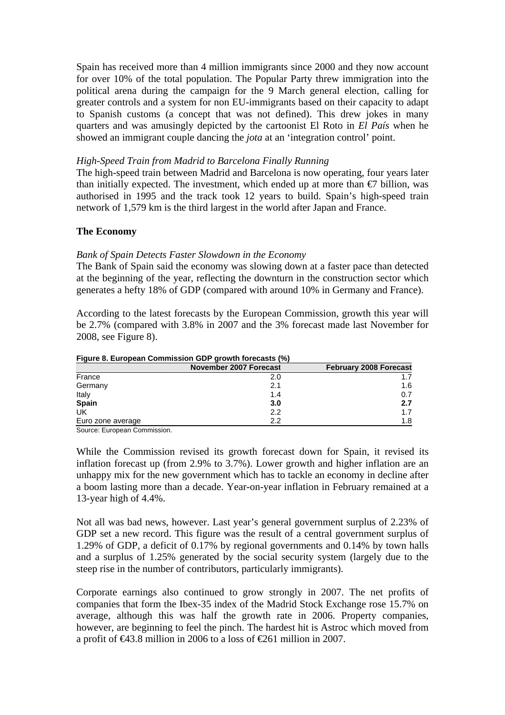Spain has received more than 4 million immigrants since 2000 and they now account for over 10% of the total population. The Popular Party threw immigration into the political arena during the campaign for the 9 March general election, calling for greater controls and a system for non EU-immigrants based on their capacity to adapt to Spanish customs (a concept that was not defined). This drew jokes in many quarters and was amusingly depicted by the cartoonist El Roto in *El País* when he showed an immigrant couple dancing the *jota* at an 'integration control' point.

#### *High-Speed Train from Madrid to Barcelona Finally Running*

The high-speed train between Madrid and Barcelona is now operating, four years later than initially expected. The investment, which ended up at more than  $\epsilon$  billion, was authorised in 1995 and the track took 12 years to build. Spain's high-speed train network of 1,579 km is the third largest in the world after Japan and France.

#### **The Economy**

#### *Bank of Spain Detects Faster Slowdown in the Economy*

The Bank of Spain said the economy was slowing down at a faster pace than detected at the beginning of the year, reflecting the downturn in the construction sector which generates a hefty 18% of GDP (compared with around 10% in Germany and France).

According to the latest forecasts by the European Commission, growth this year will be 2.7% (compared with 3.8% in 2007 and the 3% forecast made last November for 2008, see Figure 8).

| <u>I IYULG 0. LUI UDGAII CUIIIIIIISSIUII ODF YIUWUI IUIGCASIS (70)</u> |                               |                               |  |  |  |  |  |  |
|------------------------------------------------------------------------|-------------------------------|-------------------------------|--|--|--|--|--|--|
|                                                                        | <b>November 2007 Forecast</b> | <b>February 2008 Forecast</b> |  |  |  |  |  |  |
| France                                                                 | 2.0                           |                               |  |  |  |  |  |  |
| Germany                                                                | 2.1                           | 1.6                           |  |  |  |  |  |  |
| Italy                                                                  | 1.4                           | 0.7                           |  |  |  |  |  |  |
| Spain                                                                  | 3.0                           | 2.7                           |  |  |  |  |  |  |
| UK                                                                     | 2.2                           | 1.7                           |  |  |  |  |  |  |
| Euro zone average                                                      | 2.2                           | 1.8                           |  |  |  |  |  |  |

# **Figure 8. European Commission GDP growth forecasts (%)**

Source: European Commission.

While the Commission revised its growth forecast down for Spain, it revised its inflation forecast up (from 2.9% to 3.7%). Lower growth and higher inflation are an unhappy mix for the new government which has to tackle an economy in decline after a boom lasting more than a decade. Year-on-year inflation in February remained at a 13-year high of 4.4%.

Not all was bad news, however. Last year's general government surplus of 2.23% of GDP set a new record. This figure was the result of a central government surplus of 1.29% of GDP, a deficit of 0.17% by regional governments and 0.14% by town halls and a surplus of 1.25% generated by the social security system (largely due to the steep rise in the number of contributors, particularly immigrants).

Corporate earnings also continued to grow strongly in 2007. The net profits of companies that form the Ibex-35 index of the Madrid Stock Exchange rose 15.7% on average, although this was half the growth rate in 2006. Property companies, however, are beginning to feel the pinch. The hardest hit is Astroc which moved from a profit of €43.8 million in 2006 to a loss of €261 million in 2007.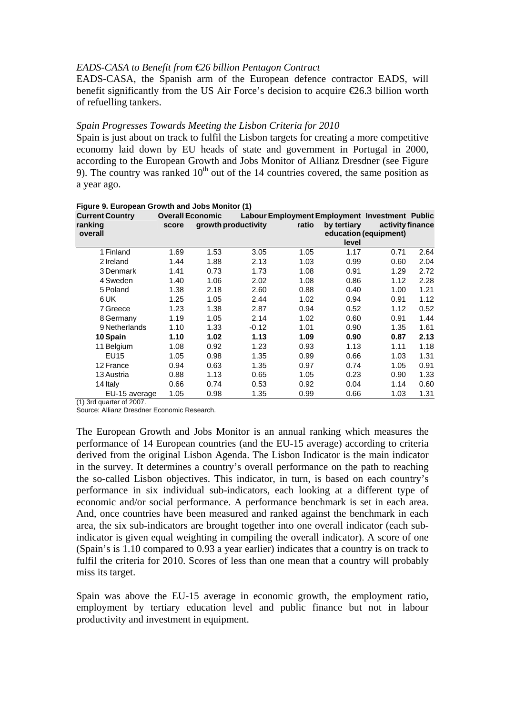#### *EADS-CASA to Benefit from €26 billion Pentagon Contract*

EADS-CASA, the Spanish arm of the European defence contractor EADS, will benefit significantly from the US Air Force's decision to acquire  $\epsilon$ 26.3 billion worth of refuelling tankers.

#### *Spain Progresses Towards Meeting the Lisbon Criteria for 2010*

Spain is just about on track to fulfil the Lisbon targets for creating a more competitive economy laid down by EU heads of state and government in Portugal in 2000, according to the European Growth and Jobs Monitor of Allianz Dresdner (see Figure 9). The country was ranked  $10<sup>th</sup>$  out of the 14 countries covered, the same position as a year ago.

| <b>Current Country</b><br>ranking | <b>Overall Economic</b><br>score |      | growth productivity | ratio | Labour Employment Employment Investment Public<br>by tertiary | activity finance      |      |
|-----------------------------------|----------------------------------|------|---------------------|-------|---------------------------------------------------------------|-----------------------|------|
| overall                           |                                  |      |                     |       | level                                                         | education (equipment) |      |
| 1 Finland                         | 1.69                             | 1.53 | 3.05                | 1.05  | 1.17                                                          | 0.71                  | 2.64 |
| 2 Ireland                         | 1.44                             | 1.88 | 2.13                | 1.03  | 0.99                                                          | 0.60                  | 2.04 |
| 3 Denmark                         | 1.41                             | 0.73 | 1.73                | 1.08  | 0.91                                                          | 1.29                  | 2.72 |
| 4 Sweden                          | 1.40                             | 1.06 | 2.02                | 1.08  | 0.86                                                          | 1.12                  | 2.28 |
| 5 Poland                          | 1.38                             | 2.18 | 2.60                | 0.88  | 0.40                                                          | 1.00                  | 1.21 |
| 6 UK                              | 1.25                             | 1.05 | 2.44                | 1.02  | 0.94                                                          | 0.91                  | 1.12 |
| 7 Greece                          | 1.23                             | 1.38 | 2.87                | 0.94  | 0.52                                                          | 1.12                  | 0.52 |
| 8 Germany                         | 1.19                             | 1.05 | 2.14                | 1.02  | 0.60                                                          | 0.91                  | 1.44 |
| 9 Netherlands                     | 1.10                             | 1.33 | $-0.12$             | 1.01  | 0.90                                                          | 1.35                  | 1.61 |
| 10 Spain                          | 1.10                             | 1.02 | 1.13                | 1.09  | 0.90                                                          | 0.87                  | 2.13 |
| 11 Belgium                        | 1.08                             | 0.92 | 1.23                | 0.93  | 1.13                                                          | 1.11                  | 1.18 |
| <b>EU15</b>                       | 1.05                             | 0.98 | 1.35                | 0.99  | 0.66                                                          | 1.03                  | 1.31 |
| 12 France                         | 0.94                             | 0.63 | 1.35                | 0.97  | 0.74                                                          | 1.05                  | 0.91 |
| 13 Austria                        | 0.88                             | 1.13 | 0.65                | 1.05  | 0.23                                                          | 0.90                  | 1.33 |
| 14 Italy                          | 0.66                             | 0.74 | 0.53                | 0.92  | 0.04                                                          | 1.14                  | 0.60 |
| EU-15 average                     | 1.05                             | 0.98 | 1.35                | 0.99  | 0.66                                                          | 1.03                  | 1.31 |

|  |  |  | Figure 9. European Growth and Jobs Monitor (1) |  |
|--|--|--|------------------------------------------------|--|
|  |  |  |                                                |  |

(1) 3rd quarter of 2007.

Source: Allianz Dresdner Economic Research.

The European Growth and Jobs Monitor is an annual ranking which measures the performance of 14 European countries (and the EU-15 average) according to criteria derived from the original Lisbon Agenda. The Lisbon Indicator is the main indicator in the survey. It determines a country's overall performance on the path to reaching the so-called Lisbon objectives. This indicator, in turn, is based on each country's performance in six individual sub-indicators, each looking at a different type of economic and/or social performance. A performance benchmark is set in each area. And, once countries have been measured and ranked against the benchmark in each area, the six sub-indicators are brought together into one overall indicator (each subindicator is given equal weighting in compiling the overall indicator). A score of one (Spain's is 1.10 compared to 0.93 a year earlier) indicates that a country is on track to fulfil the criteria for 2010. Scores of less than one mean that a country will probably miss its target.

Spain was above the EU-15 average in economic growth, the employment ratio, employment by tertiary education level and public finance but not in labour productivity and investment in equipment.